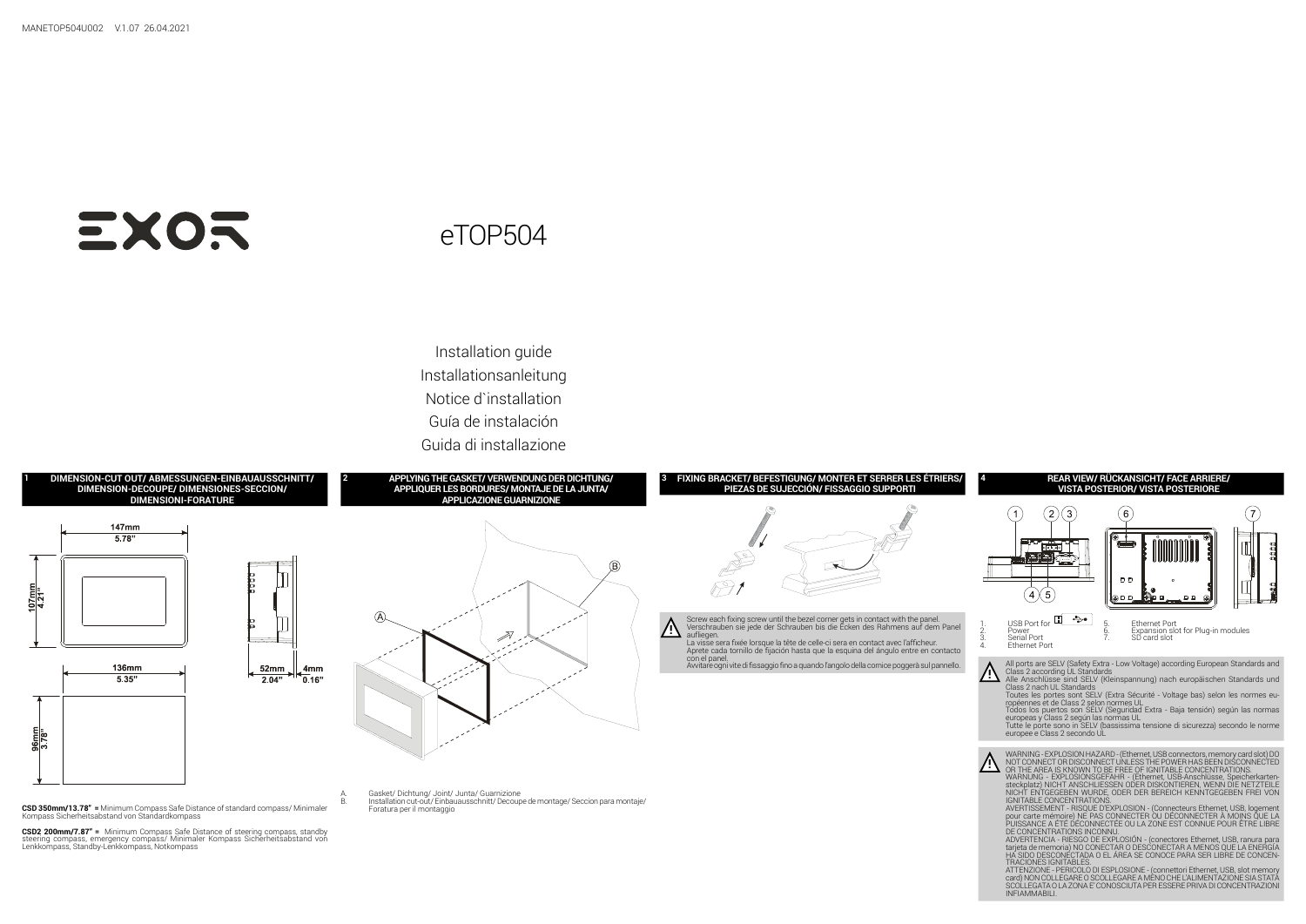

ATTENZIONE - PERICOLO DI ESPLOSIONE - (connettori Ethernet, USB, slot memory card) NON COLLEGARE O SCOLLEGARE A MENO CHE L'ALIMENTAZIONE SIA STATA SCOLLEGATA O LA ZONA E' CONOSCIUTA PER ESSERE PRIVA DI CONCENTRAZIONI INFIAMMABILI.